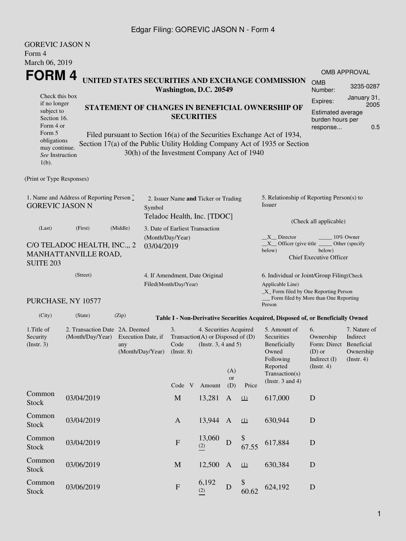### Edgar Filing: GOREVIC JASON N - Form 4

| <b>GOREVIC JASON N</b><br>Form 4                                         |                                                      |                                                                                 |                                |                                                         |                                                                                                               |                         |             |                                                                                                                                                       |                                                                                            |                                                     |  |  |
|--------------------------------------------------------------------------|------------------------------------------------------|---------------------------------------------------------------------------------|--------------------------------|---------------------------------------------------------|---------------------------------------------------------------------------------------------------------------|-------------------------|-------------|-------------------------------------------------------------------------------------------------------------------------------------------------------|--------------------------------------------------------------------------------------------|-----------------------------------------------------|--|--|
| March 06, 2019                                                           |                                                      |                                                                                 |                                |                                                         |                                                                                                               |                         |             |                                                                                                                                                       |                                                                                            |                                                     |  |  |
| FORM 4                                                                   |                                                      |                                                                                 |                                |                                                         |                                                                                                               |                         |             | UNITED STATES SECURITIES AND EXCHANGE COMMISSION                                                                                                      |                                                                                            | <b>OMB APPROVAL</b>                                 |  |  |
|                                                                          |                                                      |                                                                                 |                                |                                                         | Washington, D.C. 20549                                                                                        |                         |             |                                                                                                                                                       | <b>OMB</b><br>Number:                                                                      | 3235-0287                                           |  |  |
| Check this box<br>if no longer<br>subject to<br>Section 16.<br>Form 4 or |                                                      | STATEMENT OF CHANGES IN BENEFICIAL OWNERSHIP OF<br><b>SECURITIES</b>            |                                |                                                         |                                                                                                               |                         |             |                                                                                                                                                       |                                                                                            |                                                     |  |  |
| Form 5<br>obligations<br>may continue.<br>See Instruction<br>$1(b)$ .    |                                                      |                                                                                 |                                |                                                         | 30(h) of the Investment Company Act of 1940                                                                   |                         |             | Filed pursuant to Section 16(a) of the Securities Exchange Act of 1934,<br>Section 17(a) of the Public Utility Holding Company Act of 1935 or Section |                                                                                            |                                                     |  |  |
| (Print or Type Responses)                                                |                                                      |                                                                                 |                                |                                                         |                                                                                                               |                         |             |                                                                                                                                                       |                                                                                            |                                                     |  |  |
| 1. Name and Address of Reporting Person *<br><b>GOREVIC JASON N</b>      |                                                      |                                                                                 | Symbol                         |                                                         | 2. Issuer Name and Ticker or Trading<br>Teladoc Health, Inc. [TDOC]                                           |                         |             | 5. Relationship of Reporting Person(s) to<br><b>Issuer</b>                                                                                            |                                                                                            |                                                     |  |  |
| (Middle)<br>(Last)<br>(First)                                            |                                                      |                                                                                 |                                |                                                         | 3. Date of Earliest Transaction                                                                               |                         |             | (Check all applicable)                                                                                                                                |                                                                                            |                                                     |  |  |
| <b>SUITE 203</b>                                                         | C/O TELADOC HEALTH, INC.,, 2<br>MANHATTANVILLE ROAD, |                                                                                 | (Month/Day/Year)<br>03/04/2019 |                                                         |                                                                                                               |                         |             | X Director<br>$X$ Officer (give title $\overline{\phantom{a}}$<br>below)                                                                              | below)<br><b>Chief Executive Officer</b>                                                   | 10% Owner<br>Other (specify                         |  |  |
| (Street)                                                                 |                                                      |                                                                                 |                                | 4. If Amendment, Date Original<br>Filed(Month/Day/Year) |                                                                                                               |                         |             | 6. Individual or Joint/Group Filing(Check<br>Applicable Line)<br>_X_ Form filed by One Reporting Person                                               |                                                                                            |                                                     |  |  |
|                                                                          | PURCHASE, NY 10577                                   |                                                                                 |                                |                                                         |                                                                                                               |                         |             | Form filed by More than One Reporting<br>Person                                                                                                       |                                                                                            |                                                     |  |  |
| (City)                                                                   | (State)                                              | (Zip)                                                                           |                                |                                                         |                                                                                                               |                         |             | Table I - Non-Derivative Securities Acquired, Disposed of, or Beneficially Owned                                                                      |                                                                                            |                                                     |  |  |
| 1.Title of<br>Security<br>(Insert. 3)                                    | (Month/Day/Year)                                     | 2. Transaction Date 2A. Deemed<br>Execution Date, if<br>any<br>(Month/Day/Year) |                                |                                                         | 4. Securities Acquired<br>Transaction(A) or Disposed of $(D)$<br>(Instr. $3, 4$ and $5$ )<br>Code V<br>Amount | (A)<br><b>or</b><br>(D) | Price       | 5. Amount of<br>Securities<br>Beneficially<br>Owned<br>Following<br>Reported<br>Transaction(s)<br>(Instr. $3$ and $4$ )                               | 6.<br>Ownership<br>Form: Direct Beneficial<br>$(D)$ or<br>Indirect (I)<br>$($ Instr. 4 $)$ | 7. Nature of<br>Indirect<br>Ownership<br>(Instr. 4) |  |  |
| Common<br>Stock                                                          | 03/04/2019                                           |                                                                                 |                                | $\mathbf M$                                             | 13,281                                                                                                        | $\mathbf{A}$            | (1)         | 617,000                                                                                                                                               | D                                                                                          |                                                     |  |  |
| Common<br><b>Stock</b>                                                   | 03/04/2019                                           |                                                                                 |                                | $\mathbf{A}$                                            | 13,944                                                                                                        | $\mathbf{A}$            | (1)         | 630,944                                                                                                                                               | D                                                                                          |                                                     |  |  |
| Common<br>Stock                                                          | 03/04/2019                                           |                                                                                 |                                | ${\bf F}$                                               | 13,060<br>(2)                                                                                                 | D                       | \$<br>67.55 | 617,884                                                                                                                                               | D                                                                                          |                                                     |  |  |
| Common<br><b>Stock</b>                                                   | 03/06/2019                                           |                                                                                 |                                | M                                                       | 12,500                                                                                                        | $\mathbf{A}$            | (1)         | 630,384                                                                                                                                               | D                                                                                          |                                                     |  |  |
| Common<br>Stock                                                          | 03/06/2019                                           |                                                                                 |                                | ${\bf F}$                                               | 6,192<br>(2)                                                                                                  | ${\bf D}$               | \$<br>60.62 | 624,192                                                                                                                                               | D                                                                                          |                                                     |  |  |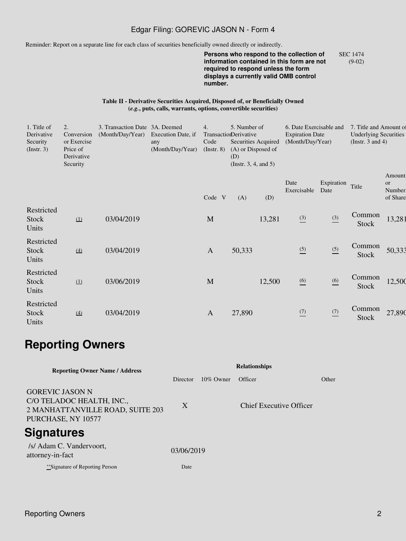### Edgar Filing: GOREVIC JASON N - Form 4

Reminder: Report on a separate line for each class of securities beneficially owned directly or indirectly.

**Persons who respond to the collection of information contained in this form are not required to respond unless the form displays a currently valid OMB control number.** SEC 1474 (9-02)

#### **Table II - Derivative Securities Acquired, Disposed of, or Beneficially Owned (***e.g.***, puts, calls, warrants, options, convertible securities)**

| 1. Title of<br>Derivative<br>Security<br>$($ Instr. 3 $)$ | 2.<br>Conversion<br>or Exercise<br>Price of<br>Derivative<br>Security | 3. Transaction Date 3A. Deemed<br>(Month/Day/Year) | Execution Date, if<br>any<br>(Month/Day/Year) | 4.<br>Code<br>$($ Instr. 8 $)$ | 5. Number of<br>TransactionDerivative<br>Securities Acquired<br>(A) or Disposed of<br>(D)<br>(Instr. $3, 4$ , and $5$ ) |        |                     | 6. Date Exercisable and<br><b>Expiration Date</b><br>(Month/Day/Year) |                        | 7. Title and Amount of<br><b>Underlying Securities</b><br>(Instr. 3 and 4) |  |
|-----------------------------------------------------------|-----------------------------------------------------------------------|----------------------------------------------------|-----------------------------------------------|--------------------------------|-------------------------------------------------------------------------------------------------------------------------|--------|---------------------|-----------------------------------------------------------------------|------------------------|----------------------------------------------------------------------------|--|
|                                                           |                                                                       |                                                    |                                               | Code V                         | (A)                                                                                                                     | (D)    | Date<br>Exercisable | Expiration<br>Date                                                    | Title                  | Amount<br>or<br>Number<br>of Share                                         |  |
| Restricted<br>Stock<br>Units                              | (1)                                                                   | 03/04/2019                                         |                                               | M                              |                                                                                                                         | 13,281 | $\frac{(3)}{2}$     | $\frac{(3)}{2}$                                                       | Common<br>Stock        | 13,281                                                                     |  |
| Restricted<br><b>Stock</b><br>Units                       | $\left(4\right)$                                                      | 03/04/2019                                         |                                               | $\mathbf{A}$                   | 50,333                                                                                                                  |        | $\frac{(5)}{2}$     | $\frac{(5)}{2}$                                                       | Common<br>Stock        | 50,333                                                                     |  |
| Restricted<br>Stock<br>Units                              | (1)                                                                   | 03/06/2019                                         |                                               | $\mathbf{M}$                   |                                                                                                                         | 12,500 | $\underline{(6)}$   | $\underline{(6)}$                                                     | Common<br><b>Stock</b> | 12,500                                                                     |  |
| Restricted<br>Stock<br>Units                              | $\left(4\right)$                                                      | 03/04/2019                                         |                                               | $\mathbf{A}$                   | 27,890                                                                                                                  |        | $\frac{(7)}{2}$     | $\frac{(7)}{2}$                                                       | Common<br>Stock        | 27,890                                                                     |  |

# **Reporting Owners**

| <b>Reporting Owner Name / Address</b>                                                                         |            |              |                                |       |
|---------------------------------------------------------------------------------------------------------------|------------|--------------|--------------------------------|-------|
|                                                                                                               | Director   | $10\%$ Owner | Officer                        | Other |
| <b>GOREVIC JASON N</b><br>C/O TELADOC HEALTH, INC.,<br>2 MANHATTANVILLE ROAD, SUITE 203<br>PURCHASE, NY 10577 | X          |              | <b>Chief Executive Officer</b> |       |
| <b>Signatures</b>                                                                                             |            |              |                                |       |
| /s/ Adam C. Vandervoort,<br>attorney-in-fact                                                                  | 03/06/2019 |              |                                |       |
| **Signature of Reporting Person                                                                               | Date       |              |                                |       |